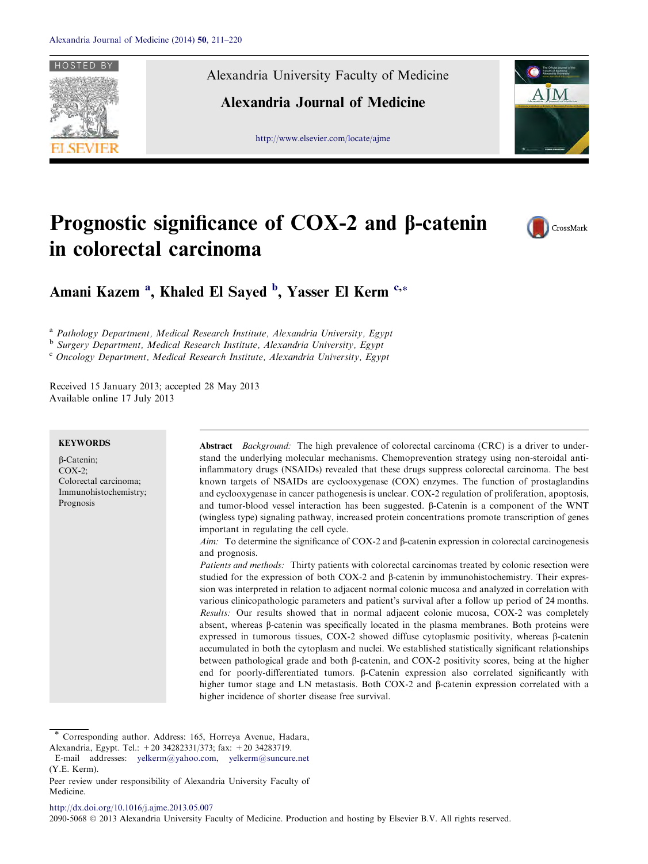

Alexandria University Faculty of Medicine

Alexandria Journal of Medicine

[http://www.elsevier.com/locate/ajme](http://www.sciencedirect.com/science/journal/20905068)



# Prognostic significance of COX-2 and  $\beta$ -catenin in colorectal carcinoma



Amani Kazem <sup>a</sup>, Khaled El Sayed <sup>b</sup>, Yasser El Kerm <sup>c,</sup>\*

<sup>a</sup> Pathology Department, Medical Research Institute, Alexandria University, Egypt

<sup>b</sup> Surgery Department, Medical Research Institute, Alexandria University, Egypt

<sup>c</sup> Oncology Department, Medical Research Institute, Alexandria University, Egypt

Received 15 January 2013; accepted 28 May 2013 Available online 17 July 2013

## **KEYWORDS**

b-Catenin;  $COX-2$ : Colorectal carcinoma; Immunohistochemistry; Prognosis

Abstract *Background:* The high prevalence of colorectal carcinoma (CRC) is a driver to understand the underlying molecular mechanisms. Chemoprevention strategy using non-steroidal antiinflammatory drugs (NSAIDs) revealed that these drugs suppress colorectal carcinoma. The best known targets of NSAIDs are cyclooxygenase (COX) enzymes. The function of prostaglandins and cyclooxygenase in cancer pathogenesis is unclear. COX-2 regulation of proliferation, apoptosis, and tumor-blood vessel interaction has been suggested.  $\beta$ -Catenin is a component of the WNT (wingless type) signaling pathway, increased protein concentrations promote transcription of genes important in regulating the cell cycle.

Aim: To determine the significance of COX-2 and  $\beta$ -catenin expression in colorectal carcinogenesis and prognosis.

Patients and methods: Thirty patients with colorectal carcinomas treated by colonic resection were studied for the expression of both  $COX-2$  and  $\beta$ -catenin by immunohistochemistry. Their expression was interpreted in relation to adjacent normal colonic mucosa and analyzed in correlation with various clinicopathologic parameters and patient's survival after a follow up period of 24 months. Results: Our results showed that in normal adjacent colonic mucosa, COX-2 was completely absent, whereas  $\beta$ -catenin was specifically located in the plasma membranes. Both proteins were expressed in tumorous tissues, COX-2 showed diffuse cytoplasmic positivity, whereas  $\beta$ -catenin accumulated in both the cytoplasm and nuclei. We established statistically significant relationships between pathological grade and both b-catenin, and COX-2 positivity scores, being at the higher end for poorly-differentiated tumors. B-Catenin expression also correlated significantly with higher tumor stage and LN metastasis. Both COX-2 and  $\beta$ -catenin expression correlated with a higher incidence of shorter disease free survival.

Corresponding author. Address: 165, Horreya Avenue, Hadara,

Alexandria, Egypt. Tel.: +20 34282331/373; fax: +20 34283719.

E-mail addresses: [yelkerm@yahoo.com,](mailto:yelkerm@yahoo.com) [yelkerm@suncure.net](mailto:yelkerm@suncure.net     ) (Y.E. Kerm).

Peer review under responsibility of Alexandria University Faculty of Medicine.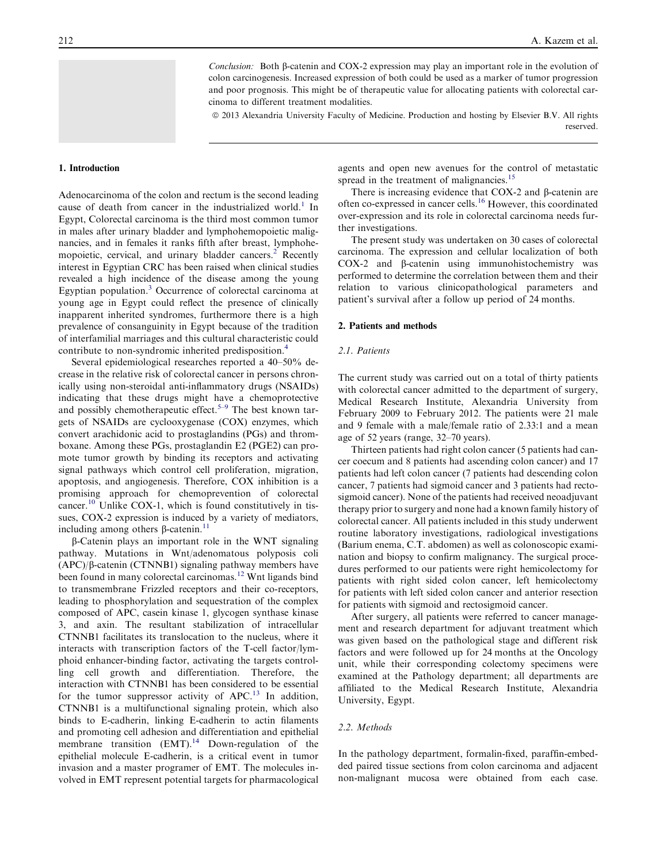Conclusion: Both  $\beta$ -catenin and COX-2 expression may play an important role in the evolution of colon carcinogenesis. Increased expression of both could be used as a marker of tumor progression and poor prognosis. This might be of therapeutic value for allocating patients with colorectal carcinoma to different treatment modalities.

ª 2013 Alexandria University Faculty of Medicine. Production and hosting by Elsevier B.V. All rights

reserved.

## 1. Introduction

Adenocarcinoma of the colon and rectum is the second leading cause of death from cancer in the industrialized world.<sup>[1](#page-8-0)</sup> In Egypt, Colorectal carcinoma is the third most common tumor in males after urinary bladder and lymphohemopoietic malignancies, and in females it ranks fifth after breast, lymphohe-mopoietic, cervical, and urinary bladder cancers.<sup>[2](#page-8-0)</sup> Recently interest in Egyptian CRC has been raised when clinical studies revealed a high incidence of the disease among the young Egyptian population.[3](#page-8-0) Occurrence of colorectal carcinoma at young age in Egypt could reflect the presence of clinically inapparent inherited syndromes, furthermore there is a high prevalence of consanguinity in Egypt because of the tradition of interfamilial marriages and this cultural characteristic could contribute to non-syndromic inherited predisposition.<sup>[4](#page-8-0)</sup>

Several epidemiological researches reported a 40–50% decrease in the relative risk of colorectal cancer in persons chronically using non-steroidal anti-inflammatory drugs (NSAIDs) indicating that these drugs might have a chemoprotective and possibly chemotherapeutic effect.<sup>[5–9](#page-8-0)</sup> The best known targets of NSAIDs are cyclooxygenase (COX) enzymes, which convert arachidonic acid to prostaglandins (PGs) and thromboxane. Among these PGs, prostaglandin E2 (PGE2) can promote tumor growth by binding its receptors and activating signal pathways which control cell proliferation, migration, apoptosis, and angiogenesis. Therefore, COX inhibition is a promising approach for chemoprevention of colorectal cancer.<sup>[10](#page-8-0)</sup> Unlike COX-1, which is found constitutively in tissues, COX-2 expression is induced by a variety of mediators, including among others  $\beta$ -catenin.<sup>[11](#page-8-0)</sup>

 $\beta$ -Catenin plays an important role in the WNT signaling pathway. Mutations in Wnt/adenomatous polyposis coli  $(APC)/\beta$ -catenin  $(CTNNB1)$  signaling pathway members have been found in many colorectal carcinomas.<sup>[12](#page-8-0)</sup> Wnt ligands bind to transmembrane Frizzled receptors and their co-receptors, leading to phosphorylation and sequestration of the complex composed of APC, casein kinase 1, glycogen synthase kinase 3, and axin. The resultant stabilization of intracellular CTNNB1 facilitates its translocation to the nucleus, where it interacts with transcription factors of the T-cell factor/lymphoid enhancer-binding factor, activating the targets controlling cell growth and differentiation. Therefore, the interaction with CTNNB1 has been considered to be essential for the tumor suppressor activity of  $APC<sup>13</sup>$  $APC<sup>13</sup>$  $APC<sup>13</sup>$  In addition, CTNNB1 is a multifunctional signaling protein, which also binds to E-cadherin, linking E-cadherin to actin filaments and promoting cell adhesion and differentiation and epithelial membrane transition  $(EMT)$ .<sup>[14](#page-8-0)</sup> Down-regulation of the epithelial molecule E-cadherin, is a critical event in tumor invasion and a master programer of EMT. The molecules involved in EMT represent potential targets for pharmacological agents and open new avenues for the control of metastatic spread in the treatment of malignancies.<sup>[15](#page-8-0)</sup>

There is increasing evidence that  $COX-2$  and  $\beta$ -catenin are often co-expressed in cancer cells.[16](#page-8-0) However, this coordinated over-expression and its role in colorectal carcinoma needs further investigations.

The present study was undertaken on 30 cases of colorectal carcinoma. The expression and cellular localization of both COX-2 and  $\beta$ -catenin using immunohistochemistry was performed to determine the correlation between them and their relation to various clinicopathological parameters and patient's survival after a follow up period of 24 months.

## 2. Patients and methods

## 2.1. Patients

The current study was carried out on a total of thirty patients with colorectal cancer admitted to the department of surgery, Medical Research Institute, Alexandria University from February 2009 to February 2012. The patients were 21 male and 9 female with a male/female ratio of 2.33:1 and a mean age of 52 years (range, 32–70 years).

Thirteen patients had right colon cancer (5 patients had cancer coecum and 8 patients had ascending colon cancer) and 17 patients had left colon cancer (7 patients had descending colon cancer, 7 patients had sigmoid cancer and 3 patients had rectosigmoid cancer). None of the patients had received neoadjuvant therapy prior to surgery and none had a known family history of colorectal cancer. All patients included in this study underwent routine laboratory investigations, radiological investigations (Barium enema, C.T. abdomen) as well as colonoscopic examination and biopsy to confirm malignancy. The surgical procedures performed to our patients were right hemicolectomy for patients with right sided colon cancer, left hemicolectomy for patients with left sided colon cancer and anterior resection for patients with sigmoid and rectosigmoid cancer.

After surgery, all patients were referred to cancer management and research department for adjuvant treatment which was given based on the pathological stage and different risk factors and were followed up for 24 months at the Oncology unit, while their corresponding colectomy specimens were examined at the Pathology department; all departments are affiliated to the Medical Research Institute, Alexandria University, Egypt.

#### 2.2. Methods

In the pathology department, formalin-fixed, paraffin-embedded paired tissue sections from colon carcinoma and adjacent non-malignant mucosa were obtained from each case.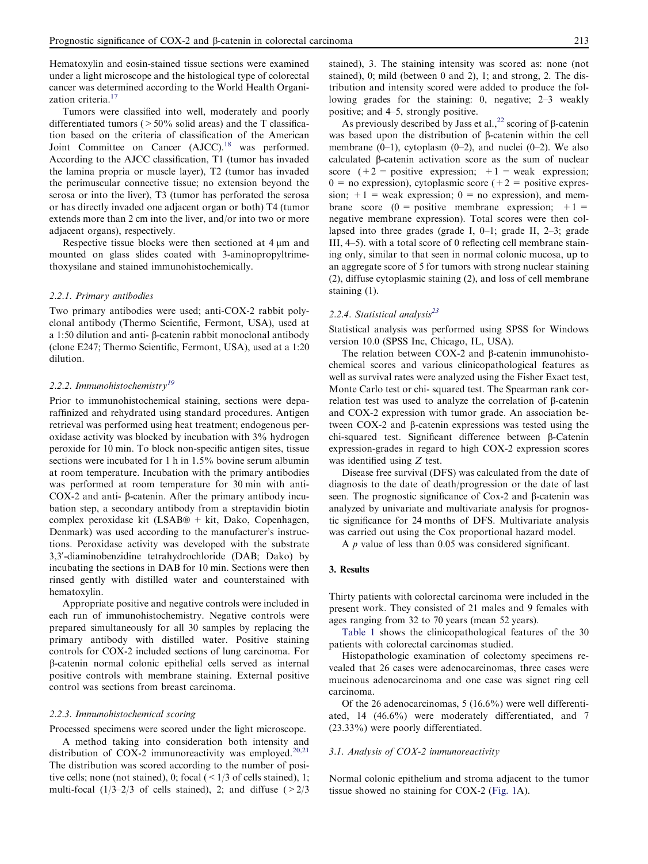Hematoxylin and eosin-stained tissue sections were examined under a light microscope and the histological type of colorectal cancer was determined according to the World Health Organi-zation criteria.<sup>[17](#page-8-0)</sup>

Tumors were classified into well, moderately and poorly differentiated tumors ( $>50\%$  solid areas) and the T classification based on the criteria of classification of the American Joint Committee on Cancer (AJCC).<sup>[18](#page-8-0)</sup> was performed. According to the AJCC classification, T1 (tumor has invaded the lamina propria or muscle layer), T2 (tumor has invaded the perimuscular connective tissue; no extension beyond the serosa or into the liver), T3 (tumor has perforated the serosa or has directly invaded one adjacent organ or both) T4 (tumor extends more than 2 cm into the liver, and/or into two or more adjacent organs), respectively.

Respective tissue blocks were then sectioned at  $4 \mu m$  and mounted on glass slides coated with 3-aminopropyltrimethoxysilane and stained immunohistochemically.

#### 2.2.1. Primary antibodies

Two primary antibodies were used; anti-COX-2 rabbit polyclonal antibody (Thermo Scientific, Fermont, USA), used at a 1:50 dilution and anti- $\beta$ -catenin rabbit monoclonal antibody (clone E247; Thermo Scientific, Fermont, USA), used at a 1:20 dilution.

# 2.2.2. Immunohistochemistry<sup>[19](#page-8-0)</sup>

Prior to immunohistochemical staining, sections were deparaffinized and rehydrated using standard procedures. Antigen retrieval was performed using heat treatment; endogenous peroxidase activity was blocked by incubation with 3% hydrogen peroxide for 10 min. To block non-specific antigen sites, tissue sections were incubated for 1 h in 1.5% bovine serum albumin at room temperature. Incubation with the primary antibodies was performed at room temperature for 30 min with anti-COX-2 and anti- $\beta$ -catenin. After the primary antibody incubation step, a secondary antibody from a streptavidin biotin complex peroxidase kit (LSAB® + kit, Dako, Copenhagen, Denmark) was used according to the manufacturer's instructions. Peroxidase activity was developed with the substrate 3,3'-diaminobenzidine tetrahydrochloride (DAB; Dako) by incubating the sections in DAB for 10 min. Sections were then rinsed gently with distilled water and counterstained with hematoxylin.

Appropriate positive and negative controls were included in each run of immunohistochemistry. Negative controls were prepared simultaneously for all 30 samples by replacing the primary antibody with distilled water. Positive staining controls for COX-2 included sections of lung carcinoma. For b-catenin normal colonic epithelial cells served as internal positive controls with membrane staining. External positive control was sections from breast carcinoma.

## 2.2.3. Immunohistochemical scoring

Processed specimens were scored under the light microscope.

A method taking into consideration both intensity and distribution of COX-2 immunoreactivity was employed.<sup>[20,21](#page-9-0)</sup> The distribution was scored according to the number of positive cells; none (not stained), 0; focal  $(< 1/3$  of cells stained), 1; multi-focal  $(1/3-2/3)$  of cells stained), 2; and diffuse  $(2/3)$  stained), 3. The staining intensity was scored as: none (not stained), 0; mild (between 0 and 2), 1; and strong, 2. The distribution and intensity scored were added to produce the following grades for the staining: 0, negative; 2–3 weakly positive; and 4–5, strongly positive.

As previously described by Jass et al.,  $^{22}$  $^{22}$  $^{22}$  scoring of  $\beta$ -catenin was based upon the distribution of  $\beta$ -catenin within the cell membrane  $(0-1)$ , cytoplasm  $(0-2)$ , and nuclei  $(0-2)$ . We also calculated  $\beta$ -catenin activation score as the sum of nuclear score  $(+2)$  = positive expression;  $+1$  = weak expression;  $0 =$  no expression), cytoplasmic score (+2 = positive expression;  $+1$  = weak expression; 0 = no expression), and membrane score  $(0 = \text{positive membrane expression}; +1 =$ negative membrane expression). Total scores were then collapsed into three grades (grade I, 0–1; grade II, 2–3; grade III, 4–5). with a total score of 0 reflecting cell membrane staining only, similar to that seen in normal colonic mucosa, up to an aggregate score of 5 for tumors with strong nuclear staining (2), diffuse cytoplasmic staining (2), and loss of cell membrane staining (1).

# 2.2.4. Statistical analysis $^{23}$  $^{23}$  $^{23}$

Statistical analysis was performed using SPSS for Windows version 10.0 (SPSS Inc, Chicago, IL, USA).

The relation between COX-2 and  $\beta$ -catenin immunohistochemical scores and various clinicopathological features as well as survival rates were analyzed using the Fisher Exact test, Monte Carlo test or chi- squared test. The Spearman rank correlation test was used to analyze the correlation of b-catenin and COX-2 expression with tumor grade. An association between  $COX-2$  and  $\beta$ -catenin expressions was tested using the chi-squared test. Significant difference between b-Catenin expression-grades in regard to high COX-2 expression scores was identified using Z test.

Disease free survival (DFS) was calculated from the date of diagnosis to the date of death/progression or the date of last seen. The prognostic significance of Cox-2 and  $\beta$ -catenin was analyzed by univariate and multivariate analysis for prognostic significance for 24 months of DFS. Multivariate analysis was carried out using the Cox proportional hazard model.

A p value of less than 0.05 was considered significant.

#### 3. Results

Thirty patients with colorectal carcinoma were included in the present work. They consisted of 21 males and 9 females with ages ranging from 32 to 70 years (mean 52 years).

[Table 1](#page-3-0) shows the clinicopathological features of the 30 patients with colorectal carcinomas studied.

Histopathologic examination of colectomy specimens revealed that 26 cases were adenocarcinomas, three cases were mucinous adenocarcinoma and one case was signet ring cell carcinoma.

Of the 26 adenocarcinomas, 5 (16.6%) were well differentiated, 14 (46.6%) were moderately differentiated, and 7 (23.33%) were poorly differentiated.

# 3.1. Analysis of COX-2 immunoreactivity

Normal colonic epithelium and stroma adjacent to the tumor tissue showed no staining for COX-2 [\(Fig. 1](#page-4-0)A).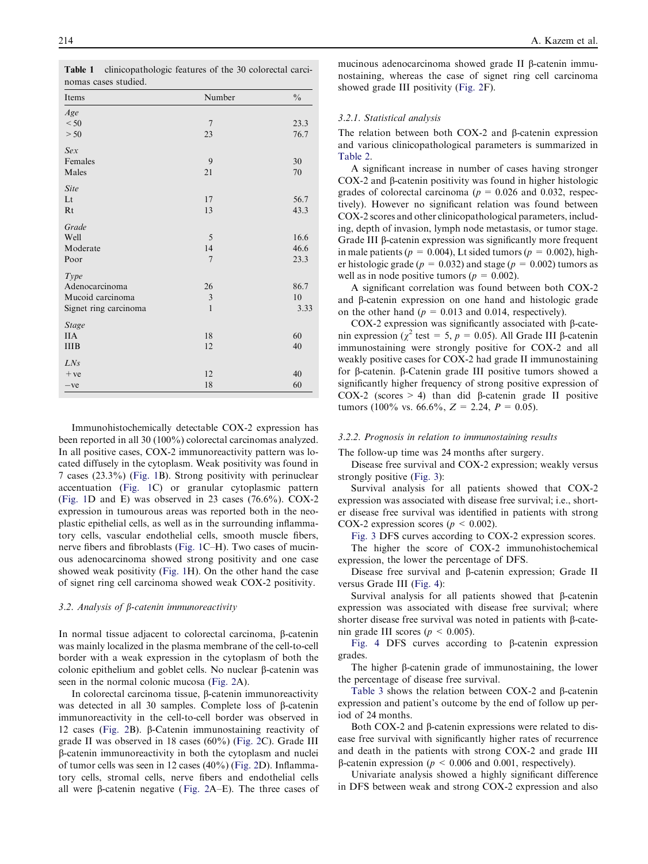| Items                 | Number         | $\frac{0}{0}$ |
|-----------------------|----------------|---------------|
| Age                   |                |               |
| < 50                  | $\overline{7}$ | 23.3          |
| > 50                  | 23             | 76.7          |
| Sex                   |                |               |
| Females               | 9              | 30            |
| Males                 | 21             | 70            |
| Site                  |                |               |
| Lt                    | 17             | 56.7          |
| Rt                    | 13             | 43.3          |
| Grade                 |                |               |
| Well                  | 5              | 16.6          |
| Moderate              | 14             | 46.6          |
| Poor                  | $\overline{7}$ | 23.3          |
| Type                  |                |               |
| Adenocarcinoma        | 26             | 86.7          |
| Mucoid carcinoma      | $\sqrt{3}$     | 10            |
| Signet ring carcinoma | $\mathbf{1}$   | 3.33          |
| <b>Stage</b>          |                |               |
| <b>IIA</b>            | 18             | 60            |
| <b>IIIB</b>           | 12             | 40            |
| LNs                   |                |               |
| $+ve$                 | 12             | 40            |
| $-ve$                 | 18             | 60            |

<span id="page-3-0"></span>Table 1 clinicopathologic features of the 30 colorectal carcinomas cases studied.

Immunohistochemically detectable COX-2 expression has been reported in all 30 (100%) colorectal carcinomas analyzed. In all positive cases, COX-2 immunoreactivity pattern was located diffusely in the cytoplasm. Weak positivity was found in 7 cases (23.3%) [\(Fig. 1B](#page-4-0)). Strong positivity with perinuclear accentuation ([Fig. 1](#page-4-0)C) or granular cytoplasmic pattern ([Fig. 1D](#page-4-0) and E) was observed in 23 cases (76.6%). COX-2 expression in tumourous areas was reported both in the neoplastic epithelial cells, as well as in the surrounding inflammatory cells, vascular endothelial cells, smooth muscle fibers, nerve fibers and fibroblasts [\(Fig. 1C](#page-4-0)–H). Two cases of mucinous adenocarcinoma showed strong positivity and one case showed weak positivity [\(Fig. 1](#page-4-0)H). On the other hand the case of signet ring cell carcinoma showed weak COX-2 positivity.

## 3.2. Analysis of  $\beta$ -catenin immunoreactivity

In normal tissue adjacent to colorectal carcinoma,  $\beta$ -catenin was mainly localized in the plasma membrane of the cell-to-cell border with a weak expression in the cytoplasm of both the colonic epithelium and goblet cells. No nuclear  $\beta$ -catenin was seen in the normal colonic mucosa ([Fig. 2](#page-5-0)A).

In colorectal carcinoma tissue,  $\beta$ -catenin immunoreactivity was detected in all 30 samples. Complete loss of  $\beta$ -catenin immunoreactivity in the cell-to-cell border was observed in 12 cases [\(Fig. 2B](#page-5-0)). b-Catenin immunostaining reactivity of grade II was observed in 18 cases (60%) [\(Fig. 2](#page-5-0)C). Grade III b-catenin immunoreactivity in both the cytoplasm and nuclei of tumor cells was seen in 12 cases (40%) ([Fig. 2D](#page-5-0)). Inflammatory cells, stromal cells, nerve fibers and endothelial cells all were  $\beta$ -catenin negative ([Fig. 2](#page-5-0)A–E). The three cases of mucinous adenocarcinoma showed grade II b-catenin immunostaining, whereas the case of signet ring cell carcinoma showed grade III positivity ([Fig. 2](#page-5-0)F).

#### 3.2.1. Statistical analysis

The relation between both COX-2 and  $\beta$ -catenin expression and various clinicopathological parameters is summarized in [Table 2](#page-6-0).

A significant increase in number of cases having stronger COX-2 and  $\beta$ -catenin positivity was found in higher histologic grades of colorectal carcinoma ( $p = 0.026$  and 0.032, respectively). However no significant relation was found between COX-2 scores and other clinicopathological parameters, including, depth of invasion, lymph node metastasis, or tumor stage. Grade III  $\beta$ -catenin expression was significantly more frequent in male patients ( $p = 0.004$ ), Lt sided tumors ( $p = 0.002$ ), higher histologic grade ( $p = 0.032$ ) and stage ( $p = 0.002$ ) tumors as well as in node positive tumors ( $p = 0.002$ ).

A significant correlation was found between both COX-2 and  $\beta$ -catenin expression on one hand and histologic grade on the other hand ( $p = 0.013$  and 0.014, respectively).

COX-2 expression was significantly associated with  $\beta$ -catenin expression ( $\chi^2$  test = 5, p = 0.05). All Grade III  $\beta$ -catenin immunostaining were strongly positive for COX-2 and all weakly positive cases for COX-2 had grade II immunostaining for b-catenin. b-Catenin grade III positive tumors showed a significantly higher frequency of strong positive expression of COX-2 (scores  $> 4$ ) than did  $\beta$ -catenin grade II positive tumors (100% vs. 66.6%,  $Z = 2.24$ ,  $P = 0.05$ ).

#### 3.2.2. Prognosis in relation to immunostaining results

The follow-up time was 24 months after surgery.

Disease free survival and COX-2 expression; weakly versus strongly positive ([Fig. 3](#page-6-0)):

Survival analysis for all patients showed that COX-2 expression was associated with disease free survival; i.e., shorter disease free survival was identified in patients with strong COX-2 expression scores ( $p \le 0.002$ ).

[Fig. 3](#page-6-0) DFS curves according to COX-2 expression scores.

The higher the score of COX-2 immunohistochemical expression, the lower the percentage of DFS.

Disease free survival and  $\beta$ -catenin expression; Grade II versus Grade III [\(Fig. 4\)](#page-6-0):

Survival analysis for all patients showed that  $\beta$ -catenin expression was associated with disease free survival; where shorter disease free survival was noted in patients with  $\beta$ -catenin grade III scores ( $p < 0.005$ ).

[Fig. 4](#page-6-0) DFS curves according to  $\beta$ -catenin expression grades.

The higher  $\beta$ -catenin grade of immunostaining, the lower the percentage of disease free survival.

[Table 3](#page-7-0) shows the relation between COX-2 and  $\beta$ -catenin expression and patient's outcome by the end of follow up period of 24 months.

Both COX-2 and  $\beta$ -catenin expressions were related to disease free survival with significantly higher rates of recurrence and death in the patients with strong COX-2 and grade III  $\beta$ -catenin expression ( $p \le 0.006$  and 0.001, respectively).

Univariate analysis showed a highly significant difference in DFS between weak and strong COX-2 expression and also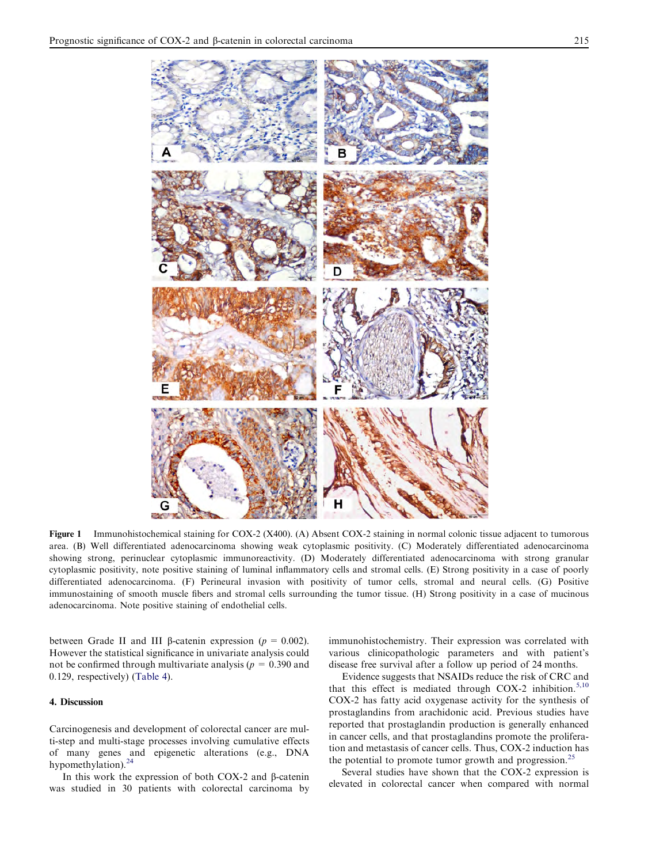<span id="page-4-0"></span>

Figure 1 Immunohistochemical staining for COX-2 (X400). (A) Absent COX-2 staining in normal colonic tissue adjacent to tumorous area. (B) Well differentiated adenocarcinoma showing weak cytoplasmic positivity. (C) Moderately differentiated adenocarcinoma showing strong, perinuclear cytoplasmic immunoreactivity. (D) Moderately differentiated adenocarcinoma with strong granular cytoplasmic positivity, note positive staining of luminal inflammatory cells and stromal cells. (E) Strong positivity in a case of poorly differentiated adenocarcinoma. (F) Perineural invasion with positivity of tumor cells, stromal and neural cells. (G) Positive immunostaining of smooth muscle fibers and stromal cells surrounding the tumor tissue. (H) Strong positivity in a case of mucinous adenocarcinoma. Note positive staining of endothelial cells.

between Grade II and III  $\beta$ -catenin expression ( $p = 0.002$ ). However the statistical significance in univariate analysis could not be confirmed through multivariate analysis ( $p = 0.390$  and 0.129, respectively) [\(Table 4\)](#page-7-0).

## 4. Discussion

Carcinogenesis and development of colorectal cancer are multi-step and multi-stage processes involving cumulative effects of many genes and epigenetic alterations (e.g., DNA hypomethylation).<sup>[24](#page-9-0)</sup>

In this work the expression of both COX-2 and  $\beta$ -catenin was studied in 30 patients with colorectal carcinoma by immunohistochemistry. Their expression was correlated with various clinicopathologic parameters and with patient's disease free survival after a follow up period of 24 months.

Evidence suggests that NSAIDs reduce the risk of CRC and that this effect is mediated through COX-2 inhibition.<sup>[5,10](#page-8-0)</sup> COX-2 has fatty acid oxygenase activity for the synthesis of prostaglandins from arachidonic acid. Previous studies have reported that prostaglandin production is generally enhanced in cancer cells, and that prostaglandins promote the proliferation and metastasis of cancer cells. Thus, COX-2 induction has the potential to promote tumor growth and progression.<sup>[25](#page-9-0)</sup>

Several studies have shown that the COX-2 expression is elevated in colorectal cancer when compared with normal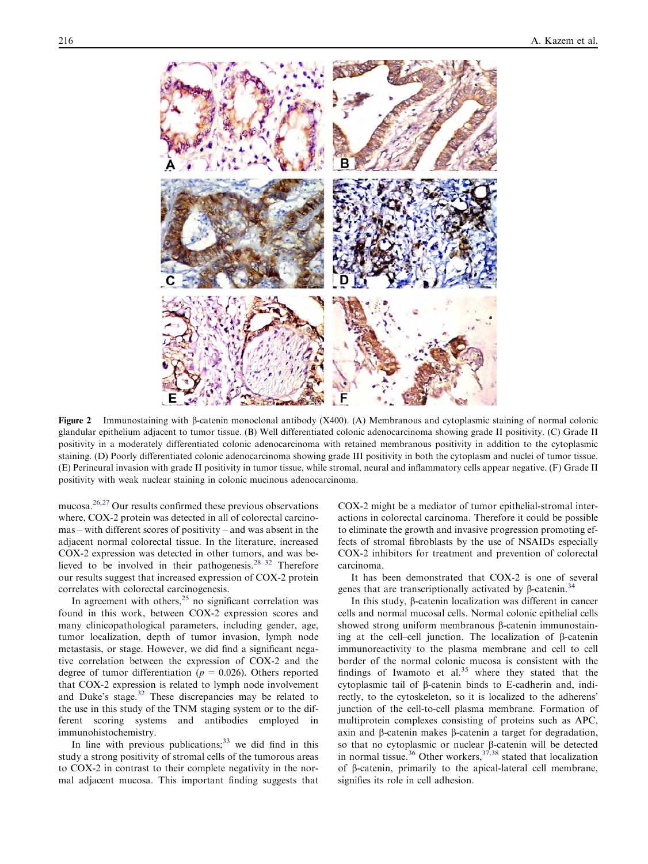<span id="page-5-0"></span>

Figure 2 Immunostaining with  $\beta$ -catenin monoclonal antibody (X400). (A) Membranous and cytoplasmic staining of normal colonic glandular epithelium adjacent to tumor tissue. (B) Well differentiated colonic adenocarcinoma showing grade II positivity. (C) Grade II positivity in a moderately differentiated colonic adenocarcinoma with retained membranous positivity in addition to the cytoplasmic staining. (D) Poorly differentiated colonic adenocarcinoma showing grade III positivity in both the cytoplasm and nuclei of tumor tissue. (E) Perineural invasion with grade II positivity in tumor tissue, while stromal, neural and inflammatory cells appear negative. (F) Grade II positivity with weak nuclear staining in colonic mucinous adenocarcinoma.

mucosa[.26,27](#page-9-0) Our results confirmed these previous observations where, COX-2 protein was detected in all of colorectal carcinomas – with different scores of positivity – and was absent in the adjacent normal colorectal tissue. In the literature, increased COX-2 expression was detected in other tumors, and was believed to be involved in their pathogenesis.<sup>28–32</sup> Therefore our results suggest that increased expression of COX-2 protein correlates with colorectal carcinogenesis.

In agreement with others,<sup>[25](#page-9-0)</sup> no significant correlation was found in this work, between COX-2 expression scores and many clinicopathological parameters, including gender, age, tumor localization, depth of tumor invasion, lymph node metastasis, or stage. However, we did find a significant negative correlation between the expression of COX-2 and the degree of tumor differentiation ( $p = 0.026$ ). Others reported that COX-2 expression is related to lymph node involvement and Duke's stage.<sup>[32](#page-9-0)</sup> These discrepancies may be related to the use in this study of the TNM staging system or to the different scoring systems and antibodies employed in immunohistochemistry.

In line with previous publications; $33$  we did find in this study a strong positivity of stromal cells of the tumorous areas to COX-2 in contrast to their complete negativity in the normal adjacent mucosa. This important finding suggests that

COX-2 might be a mediator of tumor epithelial-stromal interactions in colorectal carcinoma. Therefore it could be possible to eliminate the growth and invasive progression promoting effects of stromal fibroblasts by the use of NSAIDs especially COX-2 inhibitors for treatment and prevention of colorectal carcinoma.

It has been demonstrated that COX-2 is one of several genes that are transcriptionally activated by  $\beta$ -catenin.<sup>[34](#page-9-0)</sup>

In this study,  $\beta$ -catenin localization was different in cancer cells and normal mucosal cells. Normal colonic epithelial cells showed strong uniform membranous  $\beta$ -catenin immunostaining at the cell–cell junction. The localization of  $\beta$ -catenin immunoreactivity to the plasma membrane and cell to cell border of the normal colonic mucosa is consistent with the findings of Iwamoto et al. $35$  where they stated that the cytoplasmic tail of b-catenin binds to E-cadherin and, indirectly, to the cytoskeleton, so it is localized to the adherens' junction of the cell-to-cell plasma membrane. Formation of multiprotein complexes consisting of proteins such as APC, axin and  $\beta$ -catenin makes  $\beta$ -catenin a target for degradation, so that no cytoplasmic or nuclear  $\beta$ -catenin will be detected in normal tissue.<sup>[36](#page-9-0)</sup> Other workers,  $37,38$  stated that localization of b-catenin, primarily to the apical-lateral cell membrane, signifies its role in cell adhesion.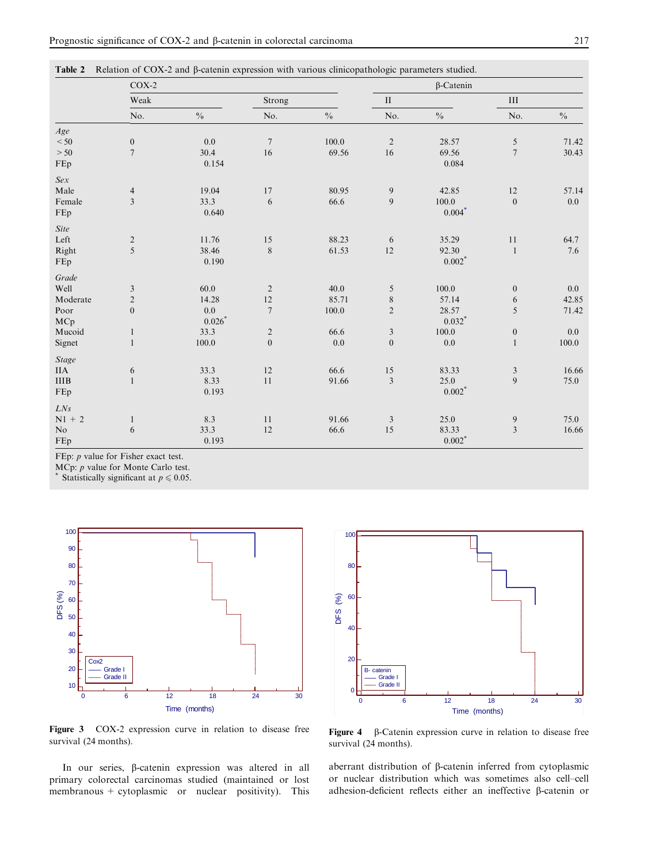<span id="page-6-0"></span>

|                | $COX-2$                 |                             |                  |                             | $\beta$ -Catenin |               |                |               |
|----------------|-------------------------|-----------------------------|------------------|-----------------------------|------------------|---------------|----------------|---------------|
|                | Weak                    |                             | Strong           |                             | $\rm II$         |               | $\rm III$      |               |
|                | No.                     | $\sqrt[0]{\hskip -1.0pt 0}$ | No.              | $\sqrt[0]{\hskip -1.0pt 0}$ | No.              | $\frac{0}{0}$ | No.            | $\frac{0}{0}$ |
| Age            |                         |                             |                  |                             |                  |               |                |               |
| $< 50$         | $\boldsymbol{0}$        | $0.0\,$                     | $\boldsymbol{7}$ | 100.0                       | $\sqrt{2}$       | 28.57         | 5              | 71.42         |
| $>50$          | $\overline{7}$          | 30.4                        | 16               | 69.56                       | 16               | 69.56         | $\overline{7}$ | 30.43         |
| FEp            |                         | 0.154                       |                  |                             |                  | 0.084         |                |               |
| Sex            |                         |                             |                  |                             |                  |               |                |               |
| Male           | $\overline{4}$          | 19.04                       | 17               | 80.95                       | $\overline{9}$   | 42.85         | 12             | 57.14         |
| Female         | $\overline{\mathbf{3}}$ | 33.3                        | 6                | 66.6                        | 9                | 100.0         | $\overline{0}$ | 0.0           |
| FEp            |                         | 0.640                       |                  |                             |                  | $0.004*$      |                |               |
| <b>Site</b>    |                         |                             |                  |                             |                  |               |                |               |
| Left           | $\overline{c}$          | 11.76                       | 15               | 88.23                       | 6                | 35.29         | 11             | 64.7          |
| Right          | 5                       | 38.46                       | $\,$ $\,$        | 61.53                       | 12               | 92.30         | $\mathbf{1}$   | 7.6           |
| FEp            |                         | 0.190                       |                  |                             |                  | $0.002*$      |                |               |
| Grade          |                         |                             |                  |                             |                  |               |                |               |
| Well           | $\mathfrak{Z}$          | 60.0                        | $\sqrt{2}$       | 40.0                        | $\sqrt{5}$       | 100.0         | $\mathbf{0}$   | 0.0           |
| Moderate       | $\overline{c}$          | 14.28                       | 12               | 85.71                       | $\,$ $\,$        | 57.14         | 6              | 42.85         |
| Poor           | $\boldsymbol{0}$        | 0.0                         | $\sqrt{ }$       | 100.0                       | $\sqrt{2}$       | 28.57         | 5              | 71.42         |
| MCp            |                         | $0.026*$                    |                  |                             |                  | $0.032*$      |                |               |
| Mucoid         | $\mathbf{1}$            | 33.3                        | $\overline{c}$   | 66.6                        | $\mathfrak{Z}$   | 100.0         | $\mathbf{0}$   | 0.0           |
| Signet         | $\mathbf{1}$            | 100.0                       | $\boldsymbol{0}$ | $0.0\,$                     | $\boldsymbol{0}$ | 0.0           | $\mathbf{1}$   | 100.0         |
| <b>Stage</b>   |                         |                             |                  |                             |                  |               |                |               |
| <b>IIA</b>     | 6                       | 33.3                        | 12               | 66.6                        | $15\,$           | 83.33         | $\mathfrak{Z}$ | 16.66         |
| $\rm IIIB$     | $\mathbf{1}$            | 8.33                        | 11               | 91.66                       | 3                | 25.0          | 9              | 75.0          |
| FEp            |                         | 0.193                       |                  |                             |                  | $0.002*$      |                |               |
| LNs            |                         |                             |                  |                             |                  |               |                |               |
| $N1 + 2$       | $\mathbf{1}$            | 8.3                         | 11               | 91.66                       | $\mathfrak{Z}$   | 25.0          | 9              | 75.0          |
| N <sub>o</sub> | 6                       | 33.3                        | 12               | 66.6                        | 15               | 83.33         | $\mathfrak{Z}$ | 16.66         |
| FEp            |                         | 0.193                       |                  |                             |                  | $0.002*$      |                |               |

FEp:  $p$  value for Fisher exact test.

MCp: *p* value for Monte Carlo test.<br>\* Statistically significant at  $p \le 0.05$ .



0 6 12 18 24 30 100 80 60 40 20  $\overline{0}$ Time (months) DFS (%) B- catenin Grade Grade II

Figure 3 COX-2 expression curve in relation to disease free survival (24 months).

In our series, b-catenin expression was altered in all primary colorectal carcinomas studied (maintained or lost membranous + cytoplasmic or nuclear positivity). This

Figure  $4\quad\beta$ -Catenin expression curve in relation to disease free survival (24 months).

aberrant distribution of  $\beta$ -catenin inferred from cytoplasmic or nuclear distribution which was sometimes also cell–cell adhesion-deficient reflects either an ineffective  $\beta$ -catenin or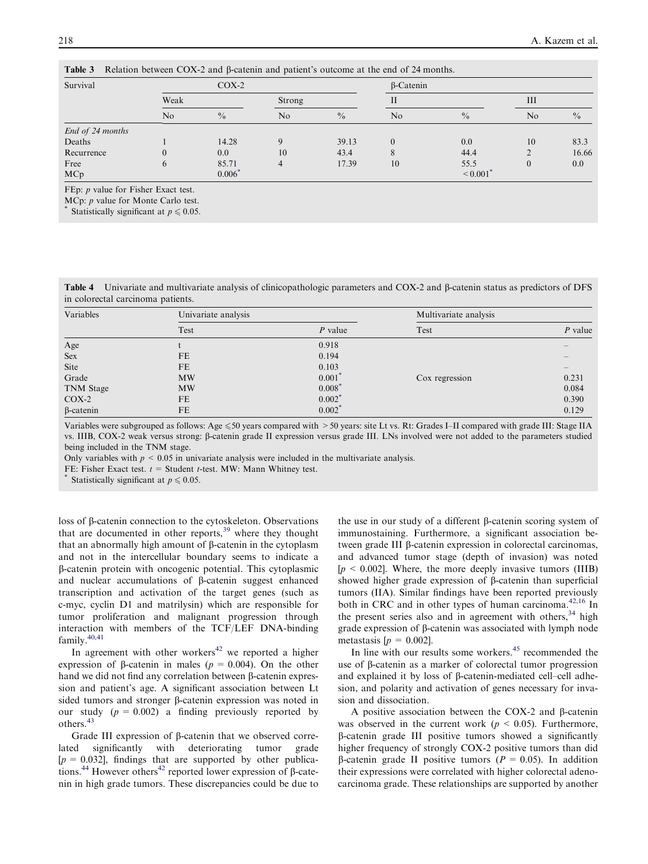| <b>Table</b> of INGRESON CONCERT CO2X 2 and p carefull and patient 3 outcome at the end of 24 months. |                |               |                |               |                  |               |                |               |
|-------------------------------------------------------------------------------------------------------|----------------|---------------|----------------|---------------|------------------|---------------|----------------|---------------|
| Survival                                                                                              | $COX-2$        |               |                |               | $\beta$ -Catenin |               |                |               |
|                                                                                                       | Weak           |               | Strong         |               |                  |               | Ш              |               |
|                                                                                                       | N <sub>o</sub> | $\frac{0}{0}$ | N <sub>o</sub> | $\frac{0}{0}$ | No               | $\frac{0}{0}$ | N <sub>o</sub> | $\frac{0}{0}$ |
| End of 24 months                                                                                      |                |               |                |               |                  |               |                |               |
| Deaths                                                                                                |                | 14.28         |                | 39.13         |                  | 0.0           | 10             | 83.3          |
| Recurrence                                                                                            | $\theta$       | 0.0           | 10             | 43.4          |                  | 44.4          |                | 16.66         |
| Free                                                                                                  | h              | 85.71         |                | 17.39         | 10               | 55.5          | $\theta$       | 0.0           |
| MCp                                                                                                   |                | 0.006         |                |               |                  | $\leq 0.001$  |                |               |

<span id="page-7-0"></span>Table 3 Relation between COX-2 and B-catenin and patient's outcome at the end of 24 months.

FEp:  $p$  value for Fisher Exact test.

MCp: p value for Monte Carlo test.

Statistically significant at  $p \leq 0.05$ .

Table 4 Univariate and multivariate analysis of clinicopathologic parameters and COX-2 and  $\beta$ -catenin status as predictors of DFS in colorectal carcinoma patients.

| Variables        | Univariate analysis |                      | Multivariate analysis |           |  |
|------------------|---------------------|----------------------|-----------------------|-----------|--|
|                  | Test                | $P$ value            | Test                  | $P$ value |  |
| Age              |                     | 0.918                |                       |           |  |
| <b>Sex</b>       | <b>FE</b>           | 0.194                |                       |           |  |
| Site             | <b>FE</b>           | 0.103                |                       |           |  |
| Grade            | <b>MW</b>           | 0.001'               | Cox regression        | 0.231     |  |
| TNM Stage        | <b>MW</b>           | $0.008$ <sup>*</sup> |                       | 0.084     |  |
| $COX-2$          | FE                  | $0.002^*$            |                       | 0.390     |  |
| $\beta$ -catenin | <b>FE</b>           | $0.002^*$            |                       | 0.129     |  |

Variables were subgrouped as follows: Age  $\leq 50$  years compared with  $> 50$  years: site Lt vs. Rt: Grades I–II compared with grade III: Stage IIA vs. IIIB, COX-2 weak versus strong: β-catenin grade II expression versus grade III. LNs involved were not added to the parameters studied being included in the TNM stage.

Only variables with  $p < 0.05$  in univariate analysis were included in the multivariate analysis.

FE: Fisher Exact test.  $t =$  Student t-test. MW: Mann Whitney test.  $*$  Statistically significant at  $p \le 0.05$ .

loss of b-catenin connection to the cytoskeleton. Observations that are documented in other reports, $39$  where they thought that an abnormally high amount of  $\beta$ -catenin in the cytoplasm and not in the intercellular boundary seems to indicate a b-catenin protein with oncogenic potential. This cytoplasmic and nuclear accumulations of  $\beta$ -catenin suggest enhanced transcription and activation of the target genes (such as c-myc, cyclin D1 and matrilysin) which are responsible for tumor proliferation and malignant progression through interaction with members of the TCF/LEF DNA-binding family.[40,41](#page-9-0)

In agreement with other workers<sup>[42](#page-9-0)</sup> we reported a higher expression of  $\beta$ -catenin in males ( $p = 0.004$ ). On the other hand we did not find any correlation between  $\beta$ -catenin expression and patient's age. A significant association between Lt sided tumors and stronger β-catenin expression was noted in our study  $(p = 0.002)$  a finding previously reported by others.[43](#page-9-0)

Grade III expression of  $\beta$ -catenin that we observed correlated significantly with deteriorating tumor grade  $[p = 0.032]$ , findings that are supported by other publica-tions.<sup>[44](#page-9-0)</sup> However others<sup>42</sup> reported lower expression of  $\beta$ -catenin in high grade tumors. These discrepancies could be due to

the use in our study of a different  $\beta$ -catenin scoring system of immunostaining. Furthermore, a significant association between grade III β-catenin expression in colorectal carcinomas, and advanced tumor stage (depth of invasion) was noted  $[p \le 0.002]$ . Where, the more deeply invasive tumors (IIIB) showed higher grade expression of  $\beta$ -catenin than superficial tumors (IIA). Similar findings have been reported previously both in CRC and in other types of human carcinoma.<sup>[42,16](#page-9-0)</sup> In the present series also and in agreement with others,  $34$  high grade expression of b-catenin was associated with lymph node metastasis  $[p = 0.002]$ .

In line with our results some workers.<sup>[45](#page-9-0)</sup> recommended the use of b-catenin as a marker of colorectal tumor progression and explained it by loss of  $\beta$ -catenin-mediated cell–cell adhesion, and polarity and activation of genes necessary for invasion and dissociation.

A positive association between the COX-2 and  $\beta$ -catenin was observed in the current work ( $p < 0.05$ ). Furthermore, b-catenin grade III positive tumors showed a significantly higher frequency of strongly COX-2 positive tumors than did  $\beta$ -catenin grade II positive tumors ( $P = 0.05$ ). In addition their expressions were correlated with higher colorectal adenocarcinoma grade. These relationships are supported by another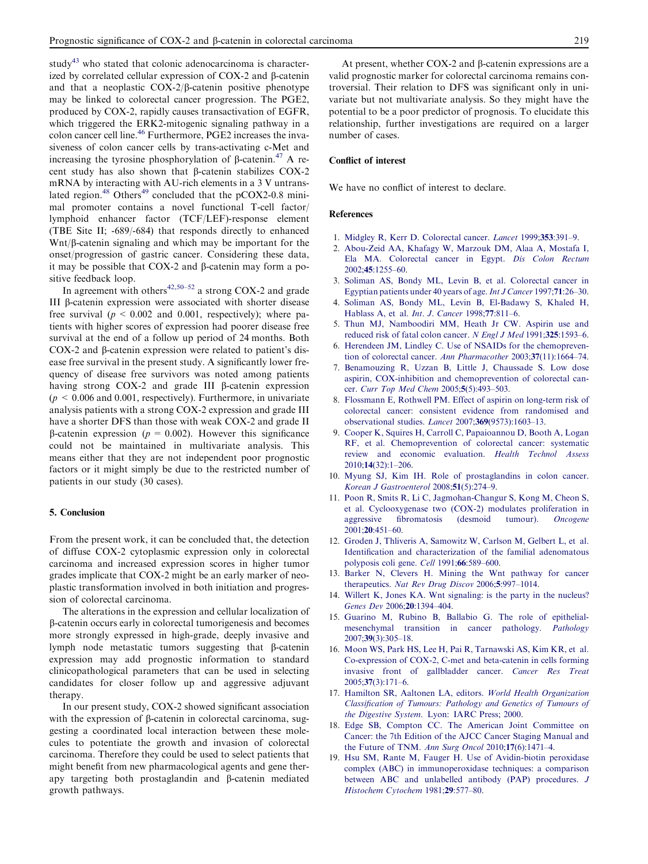<span id="page-8-0"></span>study<sup>43</sup> who stated that colonic adenocarcinoma is characterized by correlated cellular expression of COX-2 and b-catenin and that a neoplastic  $COX-2/\beta$ -catenin positive phenotype may be linked to colorectal cancer progression. The PGE2, produced by COX-2, rapidly causes transactivation of EGFR, which triggered the ERK2-mitogenic signaling pathway in a colon cancer cell line.[46](#page-9-0) Furthermore, PGE2 increases the invasiveness of colon cancer cells by trans-activating c-Met and increasing the tyrosine phosphorylation of  $\beta$ -catenin.<sup>[47](#page-9-0)</sup> A recent study has also shown that  $\beta$ -catenin stabilizes COX-2 mRNA by interacting with AU-rich elements in a 3 V untrans-lated region.<sup>48</sup> Others<sup>[49](#page-9-0)</sup> concluded that the pCOX2-0.8 minimal promoter contains a novel functional T-cell factor/ lymphoid enhancer factor (TCF/LEF)-response element (TBE Site II; -689/-684) that responds directly to enhanced  $Wnt/\beta$ -catenin signaling and which may be important for the onset/progression of gastric cancer. Considering these data, it may be possible that COX-2 and  $\beta$ -catenin may form a positive feedback loop.

In agreement with others<sup>[42,50–52](#page-9-0)</sup> a strong COX-2 and grade III b-catenin expression were associated with shorter disease free survival ( $p \le 0.002$  and 0.001, respectively); where patients with higher scores of expression had poorer disease free survival at the end of a follow up period of 24 months. Both COX-2 and  $\beta$ -catenin expression were related to patient's disease free survival in the present study. A significantly lower frequency of disease free survivors was noted among patients having strong  $COX-2$  and grade III  $\beta$ -catenin expression  $(p < 0.006$  and 0.001, respectively). Furthermore, in univariate analysis patients with a strong COX-2 expression and grade III have a shorter DFS than those with weak COX-2 and grade II  $\beta$ -catenin expression ( $p = 0.002$ ). However this significance could not be maintained in multivariate analysis. This means either that they are not independent poor prognostic factors or it might simply be due to the restricted number of patients in our study (30 cases).

## 5. Conclusion

From the present work, it can be concluded that, the detection of diffuse COX-2 cytoplasmic expression only in colorectal carcinoma and increased expression scores in higher tumor grades implicate that COX-2 might be an early marker of neoplastic transformation involved in both initiation and progression of colorectal carcinoma.

The alterations in the expression and cellular localization of b-catenin occurs early in colorectal tumorigenesis and becomes more strongly expressed in high-grade, deeply invasive and lymph node metastatic tumors suggesting that  $\beta$ -catenin expression may add prognostic information to standard clinicopathological parameters that can be used in selecting candidates for closer follow up and aggressive adjuvant therapy.

In our present study, COX-2 showed significant association with the expression of  $\beta$ -catenin in colorectal carcinoma, suggesting a coordinated local interaction between these molecules to potentiate the growth and invasion of colorectal carcinoma. Therefore they could be used to select patients that might benefit from new pharmacological agents and gene therapy targeting both prostaglandin and  $\beta$ -catenin mediated growth pathways.

At present, whether COX-2 and B-catenin expressions are a valid prognostic marker for colorectal carcinoma remains controversial. Their relation to DFS was significant only in univariate but not multivariate analysis. So they might have the potential to be a poor predictor of prognosis. To elucidate this relationship, further investigations are required on a larger number of cases.

#### Conflict of interest

We have no conflict of interest to declare.

## References

- 1. [Midgley R, Kerr D. Colorectal cancer.](http://refhub.elsevier.com/S2090-5068(13)00055-9/h0005) Lancet 1999;353:391–9.
- 2. Abou-Zeid [AA, Khafagy W, Marzouk DM, Alaa A, Mostafa I,](http://refhub.elsevier.com/S2090-5068(13)00055-9/h0010) [Ela MA. Colorectal cancer in Egypt.](http://refhub.elsevier.com/S2090-5068(13)00055-9/h0010) Dis Colon Rectum 2002;45[:1255–60.](http://refhub.elsevier.com/S2090-5068(13)00055-9/h0010)
- 3. Soliman [AS, Bondy ML, Levin B, et al. Colorectal cancer in](http://refhub.elsevier.com/S2090-5068(13)00055-9/h0015) [Egyptian patients under 40 years of age.](http://refhub.elsevier.com/S2090-5068(13)00055-9/h0015)Int J Cancer 1997;71:26–30.
- 4. Soliman [AS, Bondy ML, Levin B, El-Badawy S, Khaled H,](http://refhub.elsevier.com/S2090-5068(13)00055-9/h0020) [Hablass A, et al.](http://refhub.elsevier.com/S2090-5068(13)00055-9/h0020) Int. J. Cancer 1998;77:811–6.
- 5. Thun [MJ, Namboodiri MM, Heath Jr CW. Aspirin use and](http://refhub.elsevier.com/S2090-5068(13)00055-9/h0025) [reduced risk of fatal colon cancer.](http://refhub.elsevier.com/S2090-5068(13)00055-9/h0025) N Engl J Med 1991;325:1593-6.
- 6. [Herendeen JM, Lindley C. Use of NSAIDs for the chemopreven](http://refhub.elsevier.com/S2090-5068(13)00055-9/h0030)[tion of colorectal cancer.](http://refhub.elsevier.com/S2090-5068(13)00055-9/h0030) Ann Pharmacother 2003;37(11):1664–74.
- 7. [Benamouzing R, Uzzan B, Little J, Chaussade S. Low dose](http://refhub.elsevier.com/S2090-5068(13)00055-9/h0035) [aspirin, COX-inhibition and chemoprevention of colorectal can](http://refhub.elsevier.com/S2090-5068(13)00055-9/h0035)cer. [Curr Top Med Chem](http://refhub.elsevier.com/S2090-5068(13)00055-9/h0035) 2005;5(5):493–503.
- 8. Flossmann [E, Rothwell PM. Effect of aspirin on long-term risk of](http://refhub.elsevier.com/S2090-5068(13)00055-9/h0040) [colorectal cancer: consistent evidence from randomised and](http://refhub.elsevier.com/S2090-5068(13)00055-9/h0040) [observational studies.](http://refhub.elsevier.com/S2090-5068(13)00055-9/h0040) Lancet 2007;369(9573):1603–13.
- 9. Cooper [K, Squires H, Carroll C, Papaioannou D, Booth A, Logan](http://refhub.elsevier.com/S2090-5068(13)00055-9/h0045) [RF, et al. Chemoprevention of colorectal cancer: systematic](http://refhub.elsevier.com/S2090-5068(13)00055-9/h0045) [review and economic evaluation.](http://refhub.elsevier.com/S2090-5068(13)00055-9/h0045) Health Technol Assess 2010;14[\(32\):1–206.](http://refhub.elsevier.com/S2090-5068(13)00055-9/h0045)
- 10. Myung [SJ, Kim IH. Role of prostaglandins in colon cancer.](http://refhub.elsevier.com/S2090-5068(13)00055-9/h0050) [Korean J Gastroenterol](http://refhub.elsevier.com/S2090-5068(13)00055-9/h0050) 2008;51(5):274–9.
- 11. Poon [R, Smits R, Li C, Jagmohan-Changur S, Kong M, Cheon S,](http://refhub.elsevier.com/S2090-5068(13)00055-9/h0055) [et al. Cyclooxygenase two \(COX-2\) modulates proliferation in](http://refhub.elsevier.com/S2090-5068(13)00055-9/h0055) [aggressive fibromatosis \(desmoid tumour\).](http://refhub.elsevier.com/S2090-5068(13)00055-9/h0055) Oncogene 2001;20[:451–60.](http://refhub.elsevier.com/S2090-5068(13)00055-9/h0055)
- 12. Groden [J, Thliveris A, Samowitz W, Carlson M, Gelbert L, et al.](http://refhub.elsevier.com/S2090-5068(13)00055-9/h0060) [Identification and characterization of the familial adenomatous](http://refhub.elsevier.com/S2090-5068(13)00055-9/h0060) [polyposis coli gene.](http://refhub.elsevier.com/S2090-5068(13)00055-9/h0060) Cell 1991;66:589–600.
- 13. Barker [N, Clevers H. Mining the Wnt pathway for cancer](http://refhub.elsevier.com/S2090-5068(13)00055-9/h0065) therapeutics. [Nat Rev Drug Discov](http://refhub.elsevier.com/S2090-5068(13)00055-9/h0065) 2006;5:997–1014.
- 14. Willert [K, Jones KA. Wnt signaling: is the party in the nucleus?](http://refhub.elsevier.com/S2090-5068(13)00055-9/h0070) [Genes Dev](http://refhub.elsevier.com/S2090-5068(13)00055-9/h0070) 2006;20:1394–404.
- 15. Guarino [M, Rubino B, Ballabio G. The role of epithelial](http://refhub.elsevier.com/S2090-5068(13)00055-9/h0075)[mesenchymal transition in cancer pathology.](http://refhub.elsevier.com/S2090-5068(13)00055-9/h0075) Pathology 2007;39[\(3\):305–18.](http://refhub.elsevier.com/S2090-5068(13)00055-9/h0075)
- 16. Moon [WS, Park HS, Lee H, Pai R, Tarnawski AS, Kim KR, et al.](http://refhub.elsevier.com/S2090-5068(13)00055-9/h0080) [Co-expression of COX-2, C-met and beta-catenin in cells forming](http://refhub.elsevier.com/S2090-5068(13)00055-9/h0080) [invasive front of gallbladder cancer.](http://refhub.elsevier.com/S2090-5068(13)00055-9/h0080) Cancer Res Treat 2005;37[\(3\):171–6.](http://refhub.elsevier.com/S2090-5068(13)00055-9/h0080)
- 17. Hamilton SR, Aaltonen LA, editors. [World Health Organization](http://refhub.elsevier.com/S2090-5068(13)00055-9/h0085) [Classification of Tumours: Pathology and Genetics of Tumours of](http://refhub.elsevier.com/S2090-5068(13)00055-9/h0085) the Digestive System[. Lyon: IARC Press; 2000.](http://refhub.elsevier.com/S2090-5068(13)00055-9/h0085)
- 18. Edge [SB, Compton CC. The American Joint Committee on](http://refhub.elsevier.com/S2090-5068(13)00055-9/h0090) [Cancer: the 7th Edition of the AJCC Cancer Staging Manual and](http://refhub.elsevier.com/S2090-5068(13)00055-9/h0090) [the Future of TNM.](http://refhub.elsevier.com/S2090-5068(13)00055-9/h0090) Ann Surg Oncol 2010;17(6):1471–4.
- 19. Hsu [SM, Rante M, Fauger H. Use of Avidin-biotin peroxidase](http://refhub.elsevier.com/S2090-5068(13)00055-9/h0095) [complex \(ABC\) in immunoperoxidase techniques: a comparison](http://refhub.elsevier.com/S2090-5068(13)00055-9/h0095) [between ABC and unlabelled antibody \(PAP\) procedures.](http://refhub.elsevier.com/S2090-5068(13)00055-9/h0095) J [Histochem Cytochem](http://refhub.elsevier.com/S2090-5068(13)00055-9/h0095) 1981;29:577–80.